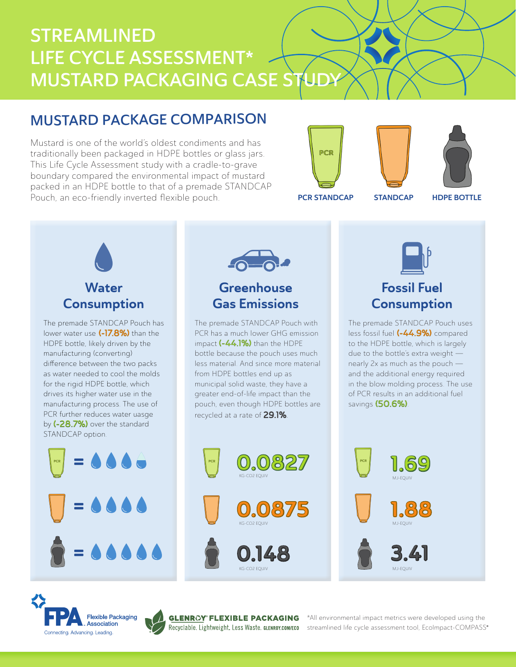# STREAMLINED LIFE CYCLE ASSESSMENT\* **MUSTARD PACKAGING CASE STUDY**

## MUSTARD PACKAGE COMPARISON

Mustard is one of the world's oldest condiments and has traditionally been packaged in HDPE bottles or glass jars. This Life Cycle Assessment study with a cradle-to-grave boundary compared the environmental impact of mustard packed in an HDPE bottle to that of a premade STANDCAP Pouch, an eco-friendly inverted flexible pouch.







PCR STANDCAP STANDCAP

HDPE BOTTLE



The premade STANDCAP Pouch has lower water use (-17.8%) than the HDPE bottle, likely driven by the manufacturing (converting) difference between the two packs as water needed to cool the molds for the rigid HDPE bottle, which drives its higher water use in the manufacturing process. The use of PCR further reduces water uasge by (-28.7%) over the standard STANDCAP option.





## **Greenhouse** Gas Emissions

The premade STANDCAP Pouch with PCR has a much lower GHG emission impact (-44.1%) than the HDPE bottle because the pouch uses much less material. And since more material from HDPE bottles end up as municipal solid waste, they have a greater end-of-life impact than the pouch, even though HDPE bottles are recycled at a rate of 29.1%.



## Fossil Fuel **Consumption**

The premade STANDCAP Pouch uses less fossil fuel (-44.9%) compared to the HDPE bottle, which is largely due to the bottle's extra weight nearly 2x as much as the pouch and the additional energy required in the blow molding process. The use of PCR results in an additional fuel savings (50.6%).











®

KG-CO2 EQUIV

\*All environmental impact metrics were developed using the streamlined life cycle assessment tool, EcoImpact-COMPASS®